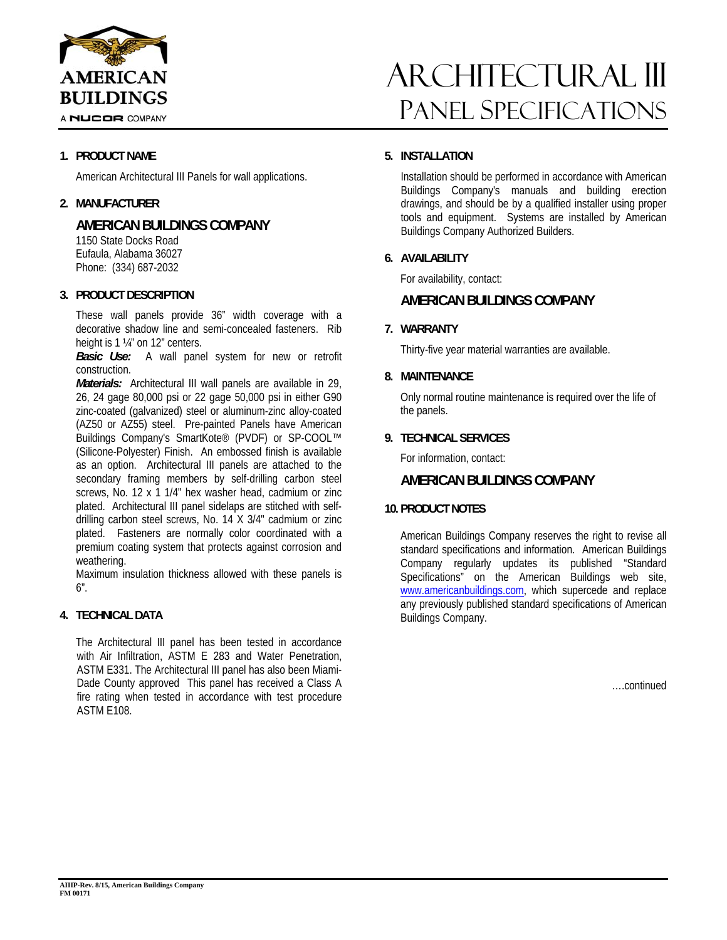

A NUCOR COMPANY

## **1. PRODUCT NAME**

American Architectural III Panels for wall applications.

## **2. MANUFACTURER**

# **AMERICAN BUILDINGS COMPANY**

1150 State Docks Road Eufaula, Alabama 36027 Phone: (334) 687-2032

#### **3. PRODUCT DESCRIPTION**

These wall panels provide 36" width coverage with a decorative shadow line and semi-concealed fasteners. Rib height is 1 ¼" on 12" centers.

*Basic Use:* A wall panel system for new or retrofit construction.

*Materials:* Architectural III wall panels are available in 29, 26, 24 gage 80,000 psi or 22 gage 50,000 psi in either G90 zinc-coated (galvanized) steel or aluminum-zinc alloy-coated (AZ50 or AZ55) steel. Pre-painted Panels have American Buildings Company's SmartKote® (PVDF) or SP-COOL™ (Silicone-Polyester) Finish. An embossed finish is available as an option. Architectural III panels are attached to the secondary framing members by self-drilling carbon steel screws, No. 12 x 1 1/4" hex washer head, cadmium or zinc plated. Architectural III panel sidelaps are stitched with selfdrilling carbon steel screws, No. 14 X 3/4" cadmium or zinc plated. Fasteners are normally color coordinated with a premium coating system that protects against corrosion and weathering.

Maximum insulation thickness allowed with these panels is 6".

## **4. TECHNICAL DATA**

The Architectural III panel has been tested in accordance with Air Infiltration, ASTM E 283 and Water Penetration, ASTM E331. The Architectural III panel has also been Miami-Dade County approved This panel has received a Class A fire rating when tested in accordance with test procedure ASTM E108.

# ARCHITECTURAL III Panel Specifications

## **5. INSTALLATION**

Installation should be performed in accordance with American Buildings Company's manuals and building erection drawings, and should be by a qualified installer using proper tools and equipment. Systems are installed by American Buildings Company Authorized Builders.

## **6. AVAILABILITY**

For availability, contact:

# **AMERICAN BUILDINGS COMPANY**

## **7. WARRANTY**

Thirty-five year material warranties are available.

## **8. MAINTENANCE**

Only normal routine maintenance is required over the life of the panels.

## **9. TECHNICAL SERVICES**

For information, contact:

## **AMERICAN BUILDINGS COMPANY**

## **10. PRODUCT NOTES**

American Buildings Company reserves the right to revise all standard specifications and information. American Buildings Company regularly updates its published "Standard Specifications" on the American Buildings web site, www.americanbuildings.com, which supercede and replace any previously published standard specifications of American Buildings Company.

….continued